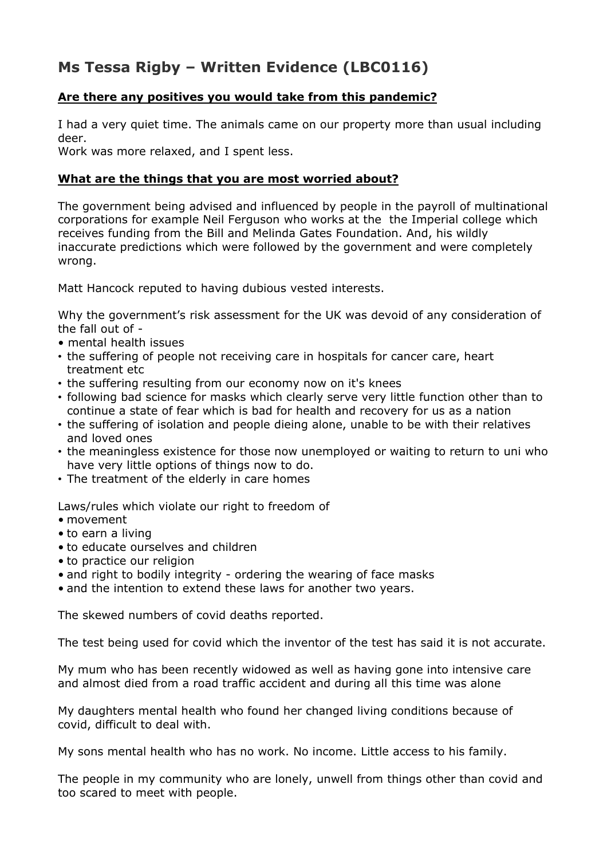## **Ms Tessa Rigby – Written Evidence (LBC0116)**

## **Are there any positives you would take from this pandemic?**

I had a very quiet time. The animals came on our property more than usual including deer.

Work was more relaxed, and I spent less.

## **What are the things that you are most worried about?**

The government being advised and influenced by people in the payroll of multinational corporations for example Neil Ferguson who works at the the Imperial college which receives funding from the Bill and Melinda Gates Foundation. And, his wildly inaccurate predictions which were followed by the government and were completely wrong.

Matt Hancock reputed to having dubious vested interests.

Why the government's risk assessment for the UK was devoid of any consideration of the fall out of -

- mental health issues
- the suffering of people not receiving care in hospitals for cancer care, heart treatment etc
- the suffering resulting from our economy now on it's knees
- following bad science for masks which clearly serve very little function other than to continue a state of fear which is bad for health and recovery for us as a nation
- the suffering of isolation and people dieing alone, unable to be with their relatives and loved ones
- the meaningless existence for those now unemployed or waiting to return to uni who have very little options of things now to do.
- The treatment of the elderly in care homes

Laws/rules which violate our right to freedom of

- movement
- to earn a living
- to educate ourselves and children
- to practice our religion
- and right to bodily integrity ordering the wearing of face masks
- and the intention to extend these laws for another two years.

The skewed numbers of covid deaths reported.

The test being used for covid which the inventor of the test has said it is not accurate.

My mum who has been recently widowed as well as having gone into intensive care and almost died from a road traffic accident and during all this time was alone

My daughters mental health who found her changed living conditions because of covid, difficult to deal with.

My sons mental health who has no work. No income. Little access to his family.

The people in my community who are lonely, unwell from things other than covid and too scared to meet with people.